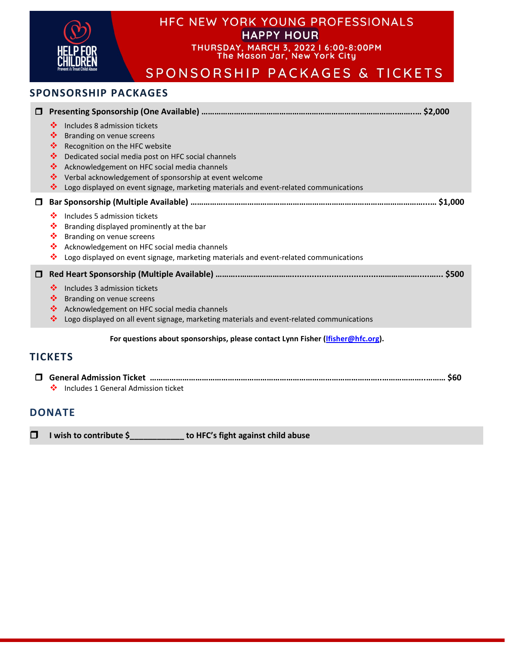|                | <b>HFC NEW YORK YOUNG PROFESSIONALS</b><br><b>HAPPY HOUR</b><br>THURSDAY, MARCH 3, 2022   6:00-8:00PM<br>The Mason Jar, New York City<br>SPONSORSHIP PACKAGES & TICKETS<br><b>SPONSORSHIP PACKAGES</b>                                                                                                                                                                                  |  |
|----------------|-----------------------------------------------------------------------------------------------------------------------------------------------------------------------------------------------------------------------------------------------------------------------------------------------------------------------------------------------------------------------------------------|--|
|                |                                                                                                                                                                                                                                                                                                                                                                                         |  |
| □              | Includes 8 admission tickets<br>❖<br>❖<br>Branding on venue screens<br>❖<br>Recognition on the HFC website<br>❖<br>Dedicated social media post on HFC social channels<br>❖<br>Acknowledgement on HFC social media channels<br>Verbal acknowledgement of sponsorship at event welcome<br>❖<br>Logo displayed on event signage, marketing materials and event-related communications<br>❖ |  |
| 0              |                                                                                                                                                                                                                                                                                                                                                                                         |  |
|                | Includes 5 admission tickets<br>❖<br>❖<br>Branding displayed prominently at the bar<br>❖<br>Branding on venue screens<br>❖<br>Acknowledgement on HFC social media channels<br>❖<br>Logo displayed on event signage, marketing materials and event-related communications                                                                                                                |  |
| 0              |                                                                                                                                                                                                                                                                                                                                                                                         |  |
|                | Includes 3 admission tickets<br>❖<br>❖<br>Branding on venue screens<br>❖<br>Acknowledgement on HFC social media channels<br>❖<br>Logo displayed on all event signage, marketing materials and event-related communications                                                                                                                                                              |  |
|                | For questions about sponsorships, please contact Lynn Fisher (lfisher@hfc.org).                                                                                                                                                                                                                                                                                                         |  |
| <b>TICKETS</b> |                                                                                                                                                                                                                                                                                                                                                                                         |  |
| \$60<br>П.     |                                                                                                                                                                                                                                                                                                                                                                                         |  |

◆ Includes 1 General Admission ticket

**I wish to contribute \$\_\_\_\_\_\_\_\_\_\_\_\_ to HFC's fight against child abuse**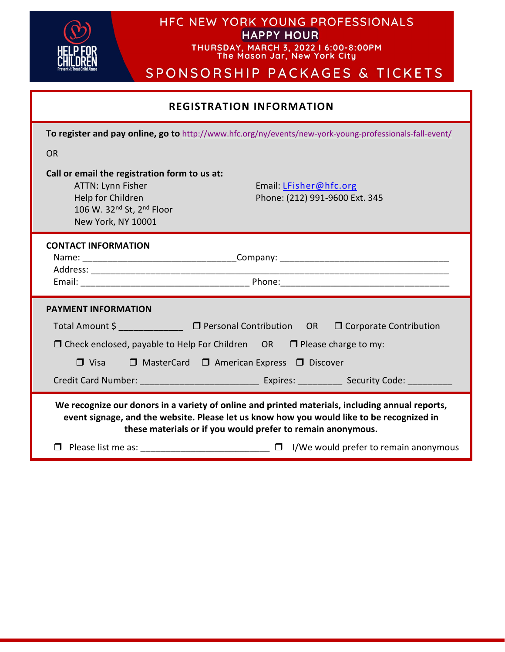

## HFC NEW YORK YOUNG PROFESSIONALS HAPPY HOUR

THURSDAY, MARCH 3, 2022 | 6:00-8:00PM<br>The Mason Jar, New York City

# SPONSORSHIP PACKAGES & TICKETS

| <b>REGISTRATION INFORMATION</b>                                                                                                                                                                                                                             |  |
|-------------------------------------------------------------------------------------------------------------------------------------------------------------------------------------------------------------------------------------------------------------|--|
| To register and pay online, go to http://www.hfc.org/ny/events/new-york-young-professionals-fall-event/                                                                                                                                                     |  |
| <b>OR</b>                                                                                                                                                                                                                                                   |  |
| Call or email the registration form to us at:<br>ATTN: Lynn Fisher<br>Email: LFisher@hfc.org<br>Help for Children<br>Phone: (212) 991-9600 Ext. 345<br>106 W. 32 <sup>nd</sup> St, 2 <sup>nd</sup> Floor<br>New York, NY 10001                              |  |
| <b>CONTACT INFORMATION</b>                                                                                                                                                                                                                                  |  |
| <b>PAYMENT INFORMATION</b>                                                                                                                                                                                                                                  |  |
| Total Amount \$ ________________ □ Personal Contribution OR □ Corporate Contribution                                                                                                                                                                        |  |
| $\Box$ Check enclosed, payable to Help For Children OR $\Box$ Please charge to my:                                                                                                                                                                          |  |
| $\Box$ Visa<br>$\Box$ MasterCard $\Box$ American Express $\Box$ Discover                                                                                                                                                                                    |  |
|                                                                                                                                                                                                                                                             |  |
| We recognize our donors in a variety of online and printed materials, including annual reports,<br>event signage, and the website. Please let us know how you would like to be recognized in<br>these materials or if you would prefer to remain anonymous. |  |
| $\Box$ Please list me as: $\Box$ I/We would prefer to remain anonymous                                                                                                                                                                                      |  |